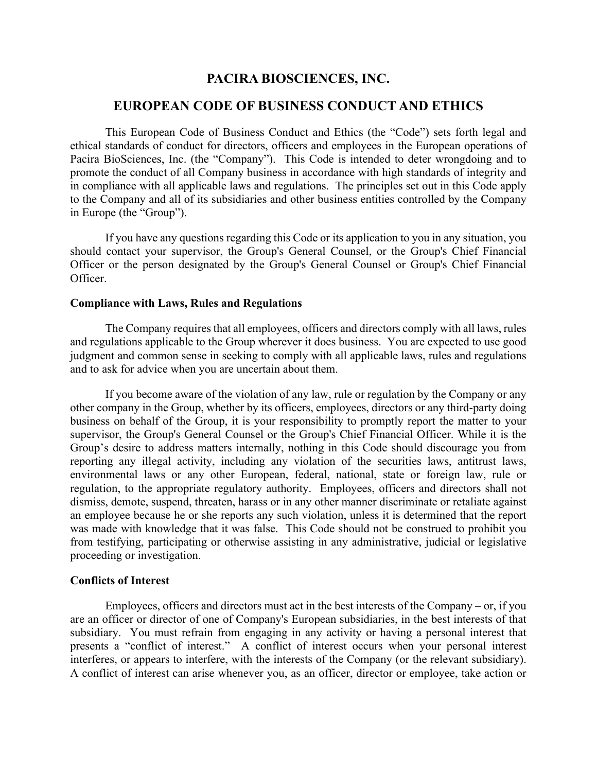# **PACIRA BIOSCIENCES, INC.**

# **EUROPEAN CODE OF BUSINESS CONDUCT AND ETHICS**

This European Code of Business Conduct and Ethics (the "Code") sets forth legal and ethical standards of conduct for directors, officers and employees in the European operations of Pacira BioSciences, Inc. (the "Company"). This Code is intended to deter wrongdoing and to promote the conduct of all Company business in accordance with high standards of integrity and in compliance with all applicable laws and regulations. The principles set out in this Code apply to the Company and all of its subsidiaries and other business entities controlled by the Company in Europe (the "Group").

If you have any questions regarding this Code or its application to you in any situation, you should contact your supervisor, the Group's General Counsel, or the Group's Chief Financial Officer or the person designated by the Group's General Counsel or Group's Chief Financial Officer.

# **Compliance with Laws, Rules and Regulations**

The Company requires that all employees, officers and directors comply with all laws, rules and regulations applicable to the Group wherever it does business. You are expected to use good judgment and common sense in seeking to comply with all applicable laws, rules and regulations and to ask for advice when you are uncertain about them.

If you become aware of the violation of any law, rule or regulation by the Company or any other company in the Group, whether by its officers, employees, directors or any third-party doing business on behalf of the Group, it is your responsibility to promptly report the matter to your supervisor, the Group's General Counsel or the Group's Chief Financial Officer. While it is the Group's desire to address matters internally, nothing in this Code should discourage you from reporting any illegal activity, including any violation of the securities laws, antitrust laws, environmental laws or any other European, federal, national, state or foreign law, rule or regulation, to the appropriate regulatory authority. Employees, officers and directors shall not dismiss, demote, suspend, threaten, harass or in any other manner discriminate or retaliate against an employee because he or she reports any such violation, unless it is determined that the report was made with knowledge that it was false. This Code should not be construed to prohibit you from testifying, participating or otherwise assisting in any administrative, judicial or legislative proceeding or investigation.

#### **Conflicts of Interest**

Employees, officers and directors must act in the best interests of the Company – or, if you are an officer or director of one of Company's European subsidiaries, in the best interests of that subsidiary. You must refrain from engaging in any activity or having a personal interest that presents a "conflict of interest." A conflict of interest occurs when your personal interest interferes, or appears to interfere, with the interests of the Company (or the relevant subsidiary). A conflict of interest can arise whenever you, as an officer, director or employee, take action or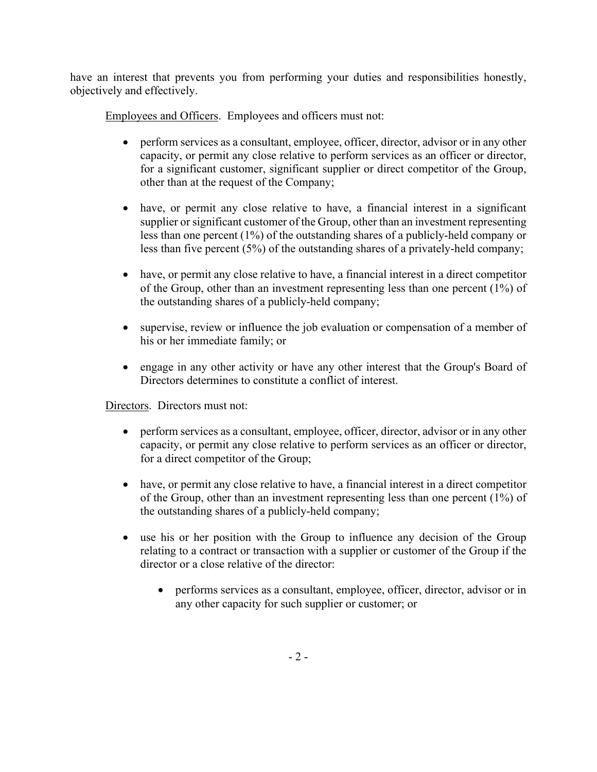have an interest that prevents you from performing your duties and responsibilities honestly, objectively and effectively.

Employees and Officers. Employees and officers must not:

- perform services as a consultant, employee, officer, director, advisor or in any other capacity, or permit any close relative to perform services as an officer or director, for a significant customer, significant supplier or direct competitor of the Group, other than at the request of the Company;
- have, or permit any close relative to have, a financial interest in a significant supplier or significant customer of the Group, other than an investment representing less than one percent (1%) of the outstanding shares of a publicly-held company or less than five percent (5%) of the outstanding shares of a privately-held company;
- have, or permit any close relative to have, a financial interest in a direct competitor of the Group, other than an investment representing less than one percent (1%) of the outstanding shares of a publicly-held company;
- supervise, review or influence the job evaluation or compensation of a member of his or her immediate family; or
- engage in any other activity or have any other interest that the Group's Board of Directors determines to constitute a conflict of interest.

Directors. Directors must not:

- perform services as a consultant, employee, officer, director, advisor or in any other capacity, or permit any close relative to perform services as an officer or director, for a direct competitor of the Group;
- have, or permit any close relative to have, a financial interest in a direct competitor of the Group, other than an investment representing less than one percent (1%) of the outstanding shares of a publicly-held company;
- use his or her position with the Group to influence any decision of the Group relating to a contract or transaction with a supplier or customer of the Group if the director or a close relative of the director:
	- performs services as a consultant, employee, officer, director, advisor or in any other capacity for such supplier or customer; or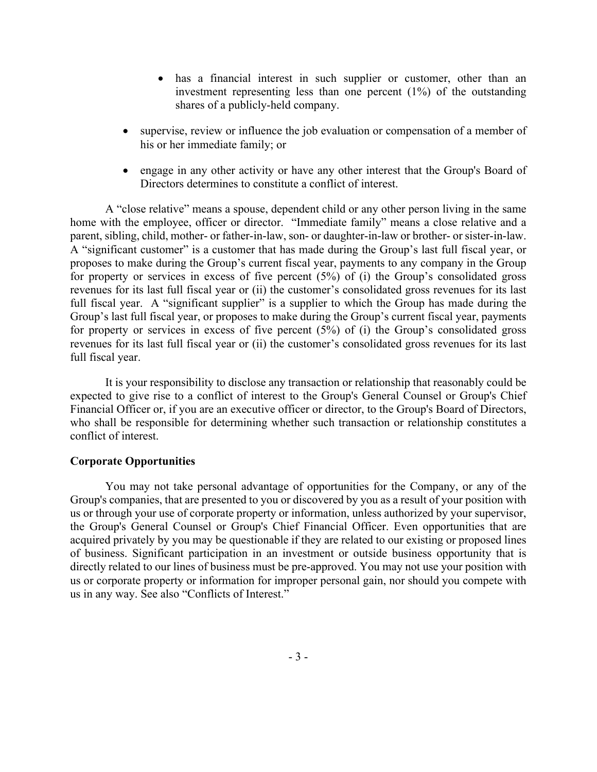- has a financial interest in such supplier or customer, other than an investment representing less than one percent (1%) of the outstanding shares of a publicly-held company.
- supervise, review or influence the job evaluation or compensation of a member of his or her immediate family; or
- engage in any other activity or have any other interest that the Group's Board of Directors determines to constitute a conflict of interest.

A "close relative" means a spouse, dependent child or any other person living in the same home with the employee, officer or director. "Immediate family" means a close relative and a parent, sibling, child, mother- or father-in-law, son- or daughter-in-law or brother- or sister-in-law. A "significant customer" is a customer that has made during the Group's last full fiscal year, or proposes to make during the Group's current fiscal year, payments to any company in the Group for property or services in excess of five percent (5%) of (i) the Group's consolidated gross revenues for its last full fiscal year or (ii) the customer's consolidated gross revenues for its last full fiscal year. A "significant supplier" is a supplier to which the Group has made during the Group's last full fiscal year, or proposes to make during the Group's current fiscal year, payments for property or services in excess of five percent (5%) of (i) the Group's consolidated gross revenues for its last full fiscal year or (ii) the customer's consolidated gross revenues for its last full fiscal year.

It is your responsibility to disclose any transaction or relationship that reasonably could be expected to give rise to a conflict of interest to the Group's General Counsel or Group's Chief Financial Officer or, if you are an executive officer or director, to the Group's Board of Directors, who shall be responsible for determining whether such transaction or relationship constitutes a conflict of interest.

# **Corporate Opportunities**

You may not take personal advantage of opportunities for the Company, or any of the Group's companies, that are presented to you or discovered by you as a result of your position with us or through your use of corporate property or information, unless authorized by your supervisor, the Group's General Counsel or Group's Chief Financial Officer. Even opportunities that are acquired privately by you may be questionable if they are related to our existing or proposed lines of business. Significant participation in an investment or outside business opportunity that is directly related to our lines of business must be pre‐approved. You may not use your position with us or corporate property or information for improper personal gain, nor should you compete with us in any way. See also "Conflicts of Interest."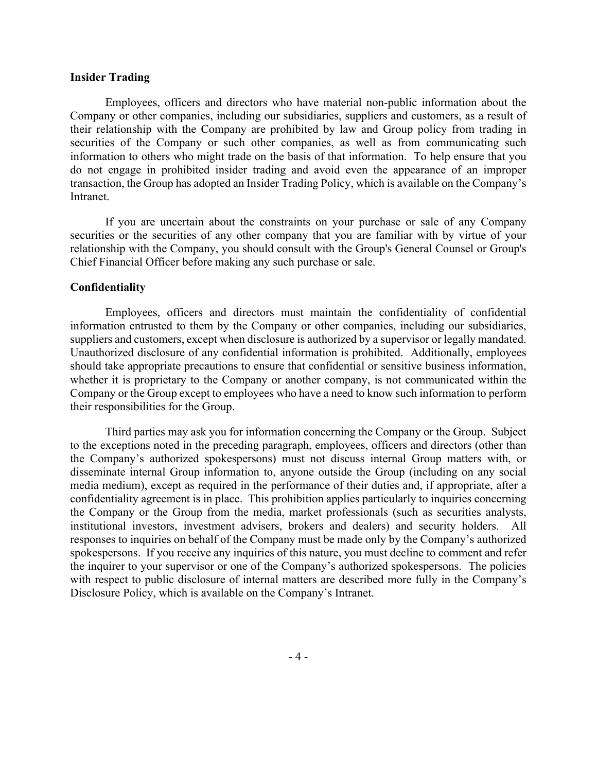# **Insider Trading**

Employees, officers and directors who have material non-public information about the Company or other companies, including our subsidiaries, suppliers and customers, as a result of their relationship with the Company are prohibited by law and Group policy from trading in securities of the Company or such other companies, as well as from communicating such information to others who might trade on the basis of that information. To help ensure that you do not engage in prohibited insider trading and avoid even the appearance of an improper transaction, the Group has adopted an Insider Trading Policy, which is available on the Company's Intranet.

If you are uncertain about the constraints on your purchase or sale of any Company securities or the securities of any other company that you are familiar with by virtue of your relationship with the Company, you should consult with the Group's General Counsel or Group's Chief Financial Officer before making any such purchase or sale.

#### **Confidentiality**

Employees, officers and directors must maintain the confidentiality of confidential information entrusted to them by the Company or other companies, including our subsidiaries, suppliers and customers, except when disclosure is authorized by a supervisor or legally mandated. Unauthorized disclosure of any confidential information is prohibited. Additionally, employees should take appropriate precautions to ensure that confidential or sensitive business information, whether it is proprietary to the Company or another company, is not communicated within the Company or the Group except to employees who have a need to know such information to perform their responsibilities for the Group.

Third parties may ask you for information concerning the Company or the Group. Subject to the exceptions noted in the preceding paragraph, employees, officers and directors (other than the Company's authorized spokespersons) must not discuss internal Group matters with, or disseminate internal Group information to, anyone outside the Group (including on any social media medium), except as required in the performance of their duties and, if appropriate, after a confidentiality agreement is in place. This prohibition applies particularly to inquiries concerning the Company or the Group from the media, market professionals (such as securities analysts, institutional investors, investment advisers, brokers and dealers) and security holders. All responses to inquiries on behalf of the Company must be made only by the Company's authorized spokespersons. If you receive any inquiries of this nature, you must decline to comment and refer the inquirer to your supervisor or one of the Company's authorized spokespersons. The policies with respect to public disclosure of internal matters are described more fully in the Company's Disclosure Policy, which is available on the Company's Intranet.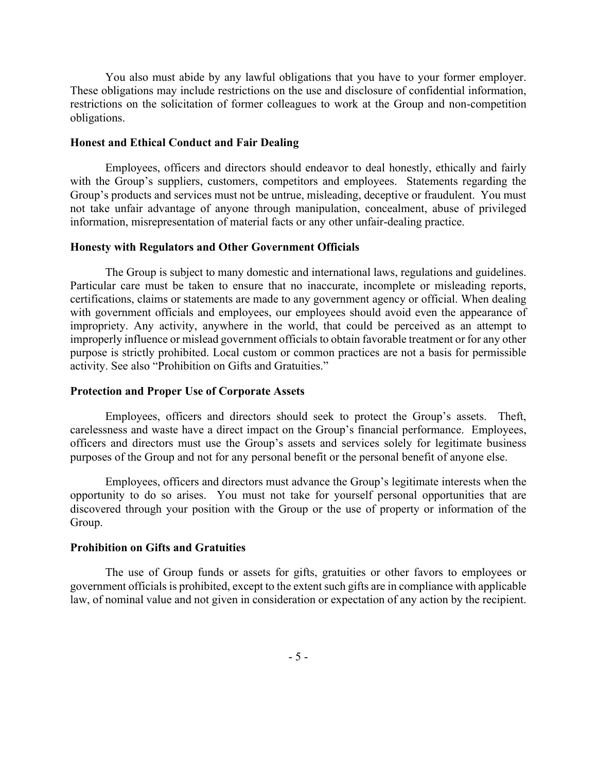You also must abide by any lawful obligations that you have to your former employer. These obligations may include restrictions on the use and disclosure of confidential information, restrictions on the solicitation of former colleagues to work at the Group and non-competition obligations.

#### **Honest and Ethical Conduct and Fair Dealing**

Employees, officers and directors should endeavor to deal honestly, ethically and fairly with the Group's suppliers, customers, competitors and employees. Statements regarding the Group's products and services must not be untrue, misleading, deceptive or fraudulent. You must not take unfair advantage of anyone through manipulation, concealment, abuse of privileged information, misrepresentation of material facts or any other unfair-dealing practice.

### **Honesty with Regulators and Other Government Officials**

The Group is subject to many domestic and international laws, regulations and guidelines. Particular care must be taken to ensure that no inaccurate, incomplete or misleading reports, certifications, claims or statements are made to any government agency or official. When dealing with government officials and employees, our employees should avoid even the appearance of impropriety. Any activity, anywhere in the world, that could be perceived as an attempt to improperly influence or mislead government officials to obtain favorable treatment or for any other purpose is strictly prohibited. Local custom or common practices are not a basis for permissible activity. See also "Prohibition on Gifts and Gratuities."

### **Protection and Proper Use of Corporate Assets**

Employees, officers and directors should seek to protect the Group's assets. Theft, carelessness and waste have a direct impact on the Group's financial performance. Employees, officers and directors must use the Group's assets and services solely for legitimate business purposes of the Group and not for any personal benefit or the personal benefit of anyone else.

Employees, officers and directors must advance the Group's legitimate interests when the opportunity to do so arises. You must not take for yourself personal opportunities that are discovered through your position with the Group or the use of property or information of the Group.

# **Prohibition on Gifts and Gratuities**

The use of Group funds or assets for gifts, gratuities or other favors to employees or government officials is prohibited, except to the extent such gifts are in compliance with applicable law, of nominal value and not given in consideration or expectation of any action by the recipient.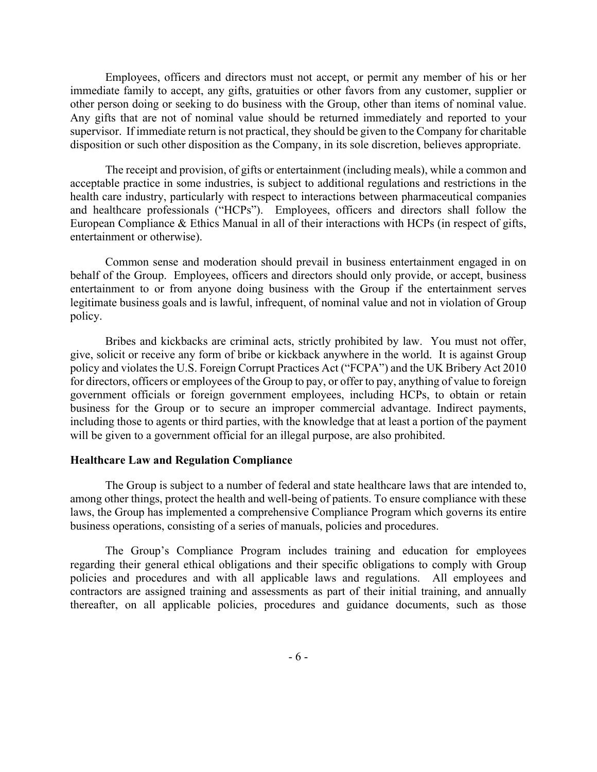Employees, officers and directors must not accept, or permit any member of his or her immediate family to accept, any gifts, gratuities or other favors from any customer, supplier or other person doing or seeking to do business with the Group, other than items of nominal value. Any gifts that are not of nominal value should be returned immediately and reported to your supervisor. If immediate return is not practical, they should be given to the Company for charitable disposition or such other disposition as the Company, in its sole discretion, believes appropriate.

The receipt and provision, of gifts or entertainment (including meals), while a common and acceptable practice in some industries, is subject to additional regulations and restrictions in the health care industry, particularly with respect to interactions between pharmaceutical companies and healthcare professionals ("HCPs"). Employees, officers and directors shall follow the European Compliance & Ethics Manual in all of their interactions with HCPs (in respect of gifts, entertainment or otherwise).

Common sense and moderation should prevail in business entertainment engaged in on behalf of the Group. Employees, officers and directors should only provide, or accept, business entertainment to or from anyone doing business with the Group if the entertainment serves legitimate business goals and is lawful, infrequent, of nominal value and not in violation of Group policy.

Bribes and kickbacks are criminal acts, strictly prohibited by law. You must not offer, give, solicit or receive any form of bribe or kickback anywhere in the world. It is against Group policy and violates the U.S. Foreign Corrupt Practices Act ("FCPA") and the UK Bribery Act 2010 for directors, officers or employees of the Group to pay, or offer to pay, anything of value to foreign government officials or foreign government employees, including HCPs, to obtain or retain business for the Group or to secure an improper commercial advantage. Indirect payments, including those to agents or third parties, with the knowledge that at least a portion of the payment will be given to a government official for an illegal purpose, are also prohibited.

# **Healthcare Law and Regulation Compliance**

The Group is subject to a number of federal and state healthcare laws that are intended to, among other things, protect the health and well-being of patients. To ensure compliance with these laws, the Group has implemented a comprehensive Compliance Program which governs its entire business operations, consisting of a series of manuals, policies and procedures.

The Group's Compliance Program includes training and education for employees regarding their general ethical obligations and their specific obligations to comply with Group policies and procedures and with all applicable laws and regulations. All employees and contractors are assigned training and assessments as part of their initial training, and annually thereafter, on all applicable policies, procedures and guidance documents, such as those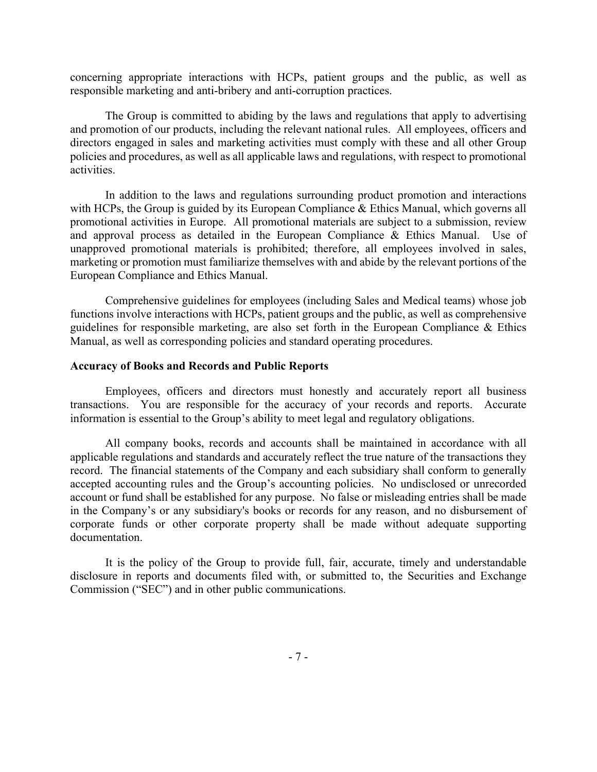concerning appropriate interactions with HCPs, patient groups and the public, as well as responsible marketing and anti-bribery and anti-corruption practices.

The Group is committed to abiding by the laws and regulations that apply to advertising and promotion of our products, including the relevant national rules. All employees, officers and directors engaged in sales and marketing activities must comply with these and all other Group policies and procedures, as well as all applicable laws and regulations, with respect to promotional activities.

In addition to the laws and regulations surrounding product promotion and interactions with HCPs, the Group is guided by its European Compliance & Ethics Manual, which governs all promotional activities in Europe. All promotional materials are subject to a submission, review and approval process as detailed in the European Compliance & Ethics Manual. Use of unapproved promotional materials is prohibited; therefore, all employees involved in sales, marketing or promotion must familiarize themselves with and abide by the relevant portions of the European Compliance and Ethics Manual.

Comprehensive guidelines for employees (including Sales and Medical teams) whose job functions involve interactions with HCPs, patient groups and the public, as well as comprehensive guidelines for responsible marketing, are also set forth in the European Compliance & Ethics Manual, as well as corresponding policies and standard operating procedures.

#### **Accuracy of Books and Records and Public Reports**

Employees, officers and directors must honestly and accurately report all business transactions. You are responsible for the accuracy of your records and reports. Accurate information is essential to the Group's ability to meet legal and regulatory obligations.

All company books, records and accounts shall be maintained in accordance with all applicable regulations and standards and accurately reflect the true nature of the transactions they record. The financial statements of the Company and each subsidiary shall conform to generally accepted accounting rules and the Group's accounting policies. No undisclosed or unrecorded account or fund shall be established for any purpose. No false or misleading entries shall be made in the Company's or any subsidiary's books or records for any reason, and no disbursement of corporate funds or other corporate property shall be made without adequate supporting documentation.

It is the policy of the Group to provide full, fair, accurate, timely and understandable disclosure in reports and documents filed with, or submitted to, the Securities and Exchange Commission ("SEC") and in other public communications.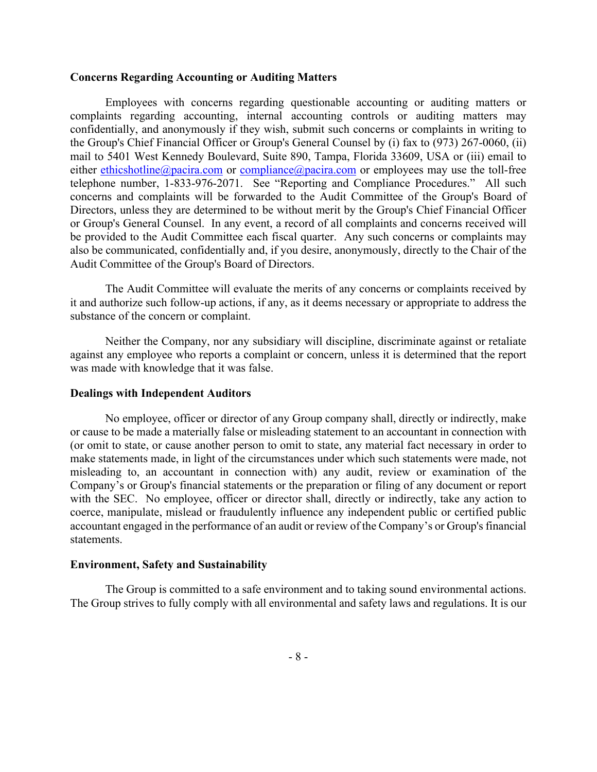# **Concerns Regarding Accounting or Auditing Matters**

Employees with concerns regarding questionable accounting or auditing matters or complaints regarding accounting, internal accounting controls or auditing matters may confidentially, and anonymously if they wish, submit such concerns or complaints in writing to the Group's Chief Financial Officer or Group's General Counsel by (i) fax to (973) 267-0060, (ii) mail to 5401 West Kennedy Boulevard, Suite 890, Tampa, Florida 33609, USA or (iii) email to either ethicshotline@pacira.com or compliance@pacira.com or employees may use the toll-free telephone number, 1-833-976-2071. See "Reporting and Compliance Procedures." All such concerns and complaints will be forwarded to the Audit Committee of the Group's Board of Directors, unless they are determined to be without merit by the Group's Chief Financial Officer or Group's General Counsel. In any event, a record of all complaints and concerns received will be provided to the Audit Committee each fiscal quarter. Any such concerns or complaints may also be communicated, confidentially and, if you desire, anonymously, directly to the Chair of the Audit Committee of the Group's Board of Directors.

The Audit Committee will evaluate the merits of any concerns or complaints received by it and authorize such follow-up actions, if any, as it deems necessary or appropriate to address the substance of the concern or complaint.

Neither the Company, nor any subsidiary will discipline, discriminate against or retaliate against any employee who reports a complaint or concern, unless it is determined that the report was made with knowledge that it was false.

### **Dealings with Independent Auditors**

No employee, officer or director of any Group company shall, directly or indirectly, make or cause to be made a materially false or misleading statement to an accountant in connection with (or omit to state, or cause another person to omit to state, any material fact necessary in order to make statements made, in light of the circumstances under which such statements were made, not misleading to, an accountant in connection with) any audit, review or examination of the Company's or Group's financial statements or the preparation or filing of any document or report with the SEC. No employee, officer or director shall, directly or indirectly, take any action to coerce, manipulate, mislead or fraudulently influence any independent public or certified public accountant engaged in the performance of an audit or review of the Company's or Group's financial statements.

### **Environment, Safety and Sustainability**

The Group is committed to a safe environment and to taking sound environmental actions. The Group strives to fully comply with all environmental and safety laws and regulations. It is our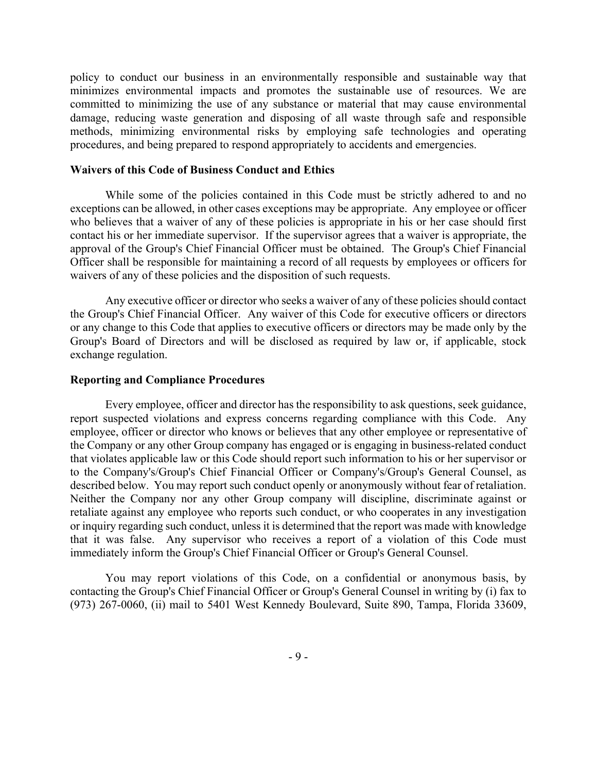policy to conduct our business in an environmentally responsible and sustainable way that minimizes environmental impacts and promotes the sustainable use of resources. We are committed to minimizing the use of any substance or material that may cause environmental damage, reducing waste generation and disposing of all waste through safe and responsible methods, minimizing environmental risks by employing safe technologies and operating procedures, and being prepared to respond appropriately to accidents and emergencies.

#### **Waivers of this Code of Business Conduct and Ethics**

While some of the policies contained in this Code must be strictly adhered to and no exceptions can be allowed, in other cases exceptions may be appropriate. Any employee or officer who believes that a waiver of any of these policies is appropriate in his or her case should first contact his or her immediate supervisor. If the supervisor agrees that a waiver is appropriate, the approval of the Group's Chief Financial Officer must be obtained. The Group's Chief Financial Officer shall be responsible for maintaining a record of all requests by employees or officers for waivers of any of these policies and the disposition of such requests.

Any executive officer or director who seeks a waiver of any of these policies should contact the Group's Chief Financial Officer. Any waiver of this Code for executive officers or directors or any change to this Code that applies to executive officers or directors may be made only by the Group's Board of Directors and will be disclosed as required by law or, if applicable, stock exchange regulation.

#### **Reporting and Compliance Procedures**

Every employee, officer and director has the responsibility to ask questions, seek guidance, report suspected violations and express concerns regarding compliance with this Code. Any employee, officer or director who knows or believes that any other employee or representative of the Company or any other Group company has engaged or is engaging in business-related conduct that violates applicable law or this Code should report such information to his or her supervisor or to the Company's/Group's Chief Financial Officer or Company's/Group's General Counsel, as described below. You may report such conduct openly or anonymously without fear of retaliation. Neither the Company nor any other Group company will discipline, discriminate against or retaliate against any employee who reports such conduct, or who cooperates in any investigation or inquiry regarding such conduct, unless it is determined that the report was made with knowledge that it was false. Any supervisor who receives a report of a violation of this Code must immediately inform the Group's Chief Financial Officer or Group's General Counsel.

You may report violations of this Code, on a confidential or anonymous basis, by contacting the Group's Chief Financial Officer or Group's General Counsel in writing by (i) fax to (973) 267-0060, (ii) mail to 5401 West Kennedy Boulevard, Suite 890, Tampa, Florida 33609,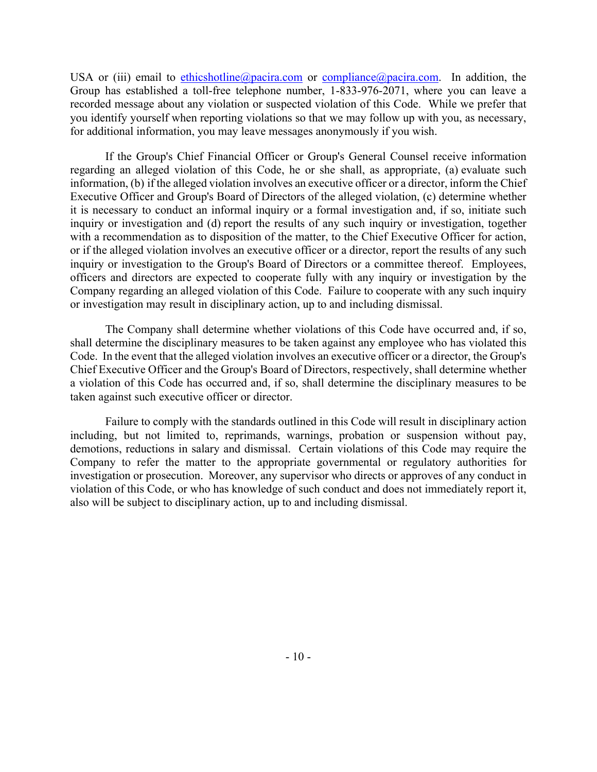USA or (iii) email to ethicshotline@pacira.com or compliance@pacira.com. In addition, the Group has established a toll-free telephone number, 1-833-976-2071, where you can leave a recorded message about any violation or suspected violation of this Code. While we prefer that you identify yourself when reporting violations so that we may follow up with you, as necessary, for additional information, you may leave messages anonymously if you wish.

If the Group's Chief Financial Officer or Group's General Counsel receive information regarding an alleged violation of this Code, he or she shall, as appropriate, (a) evaluate such information, (b) if the alleged violation involves an executive officer or a director, inform the Chief Executive Officer and Group's Board of Directors of the alleged violation, (c) determine whether it is necessary to conduct an informal inquiry or a formal investigation and, if so, initiate such inquiry or investigation and (d) report the results of any such inquiry or investigation, together with a recommendation as to disposition of the matter, to the Chief Executive Officer for action, or if the alleged violation involves an executive officer or a director, report the results of any such inquiry or investigation to the Group's Board of Directors or a committee thereof. Employees, officers and directors are expected to cooperate fully with any inquiry or investigation by the Company regarding an alleged violation of this Code. Failure to cooperate with any such inquiry or investigation may result in disciplinary action, up to and including dismissal.

The Company shall determine whether violations of this Code have occurred and, if so, shall determine the disciplinary measures to be taken against any employee who has violated this Code. In the event that the alleged violation involves an executive officer or a director, the Group's Chief Executive Officer and the Group's Board of Directors, respectively, shall determine whether a violation of this Code has occurred and, if so, shall determine the disciplinary measures to be taken against such executive officer or director.

Failure to comply with the standards outlined in this Code will result in disciplinary action including, but not limited to, reprimands, warnings, probation or suspension without pay, demotions, reductions in salary and dismissal. Certain violations of this Code may require the Company to refer the matter to the appropriate governmental or regulatory authorities for investigation or prosecution. Moreover, any supervisor who directs or approves of any conduct in violation of this Code, or who has knowledge of such conduct and does not immediately report it, also will be subject to disciplinary action, up to and including dismissal.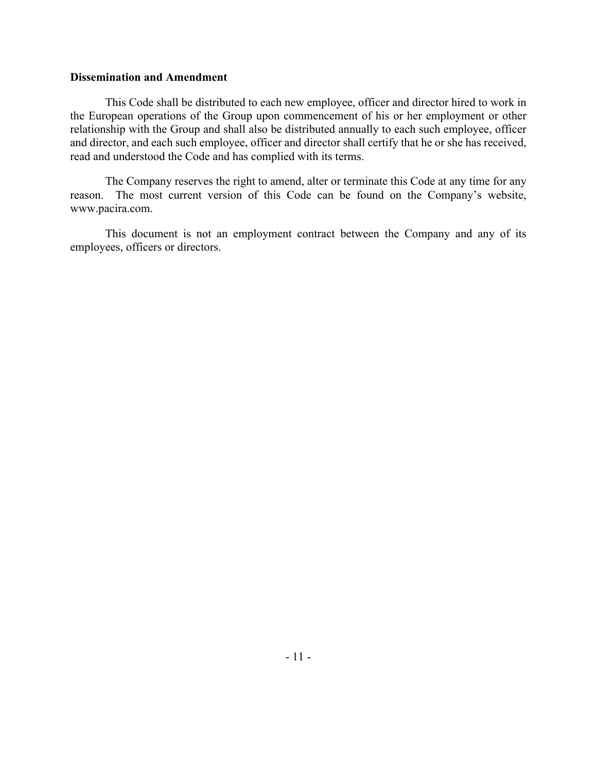# **Dissemination and Amendment**

This Code shall be distributed to each new employee, officer and director hired to work in the European operations of the Group upon commencement of his or her employment or other relationship with the Group and shall also be distributed annually to each such employee, officer and director, and each such employee, officer and director shall certify that he or she has received, read and understood the Code and has complied with its terms.

The Company reserves the right to amend, alter or terminate this Code at any time for any reason. The most current version of this Code can be found on the Company's website, www.pacira.com.

This document is not an employment contract between the Company and any of its employees, officers or directors.